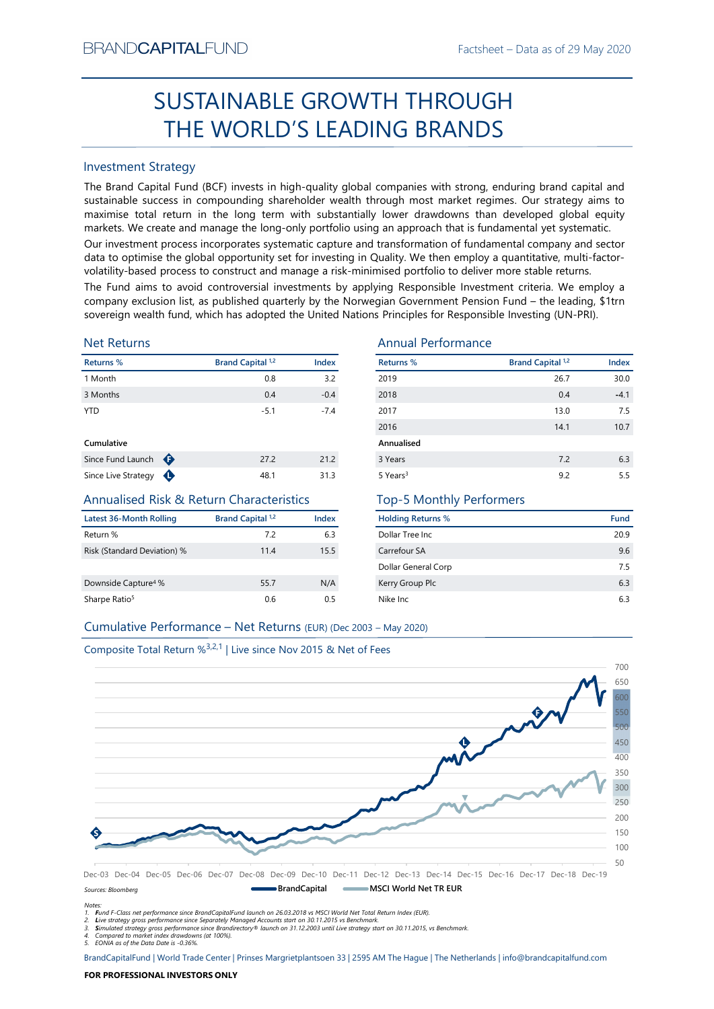# Factsheet – Data as of 29 May 2020<br> **SUGH** SUSTAINABLE GROWTH THROUGH THE WORLD'S LEADING BRANDS

# Investment Strategy

Factsheet – Data as or 29 May<br>
Factsheet – Data as or 29 May<br>
SUSTAINABLE GROWTH THROUGH<br>
THE WORLD'S LEADING BRANDS<br>
Investment Strategy<br>
The Brand Capital Fund (BCF) invests in high-quality global companies with strong, SUSTAINABLE GROWTH THROUGH<br>
THE WORLD'S LEADING BRANDS<br>
Investment Strategy<br>
IThe Brand Gapital Fund (8CF) invests in high-quality global companies with strong, enduring brand capital and<br>
sustrianted success in componing BRAND**CAPITAL**FUND<br>
SUSTAINABLE GROWTH THROUGH<br>
THE WORLD'S LEADING BRANDS<br>
Investment Strategy<br>
The Brand Capital Fund (BCF) invests in high-quality global companies with strong, enduring brand capital and<br>
sustainable su BRAND**CAPITAL**FUND<br>
Factsheet – Data as of 29 May 2020<br> **SUSTAINABLE GROWTH THROUGH**<br> **THE WORLD'S LEADING BRANDS**<br>
Investment Strategy<br>
The Brand Capital Fund (BCF) invests in high-quality global companies with strong, en BRAND**CAPITAL**FUND<br>
SUSTAINABLE GROWTH THROUGH<br>
THE WORLD'S LEADING BRANDS<br>
Investment Strategy<br>
Inte Brand Capital Fund (BCF) invests in high-quality global companies with strong, enduring brand capital and<br>
sustainable s Factsheet – Data as of 29 May 2020<br>
SUSTAINABLE GROWTH THROUGH<br>
THE WORLD'S LEADING BRANDS<br>
Investment Strategy<br>
Investment Strategy<br>
Investment Strategy<br>
Investment Strategy<br>
The Brand Capital Fund (BCF) invests in high-q BRAND**CAPITAL**FUND<br>
SUSTAINABLE GROWTH THROUGH<br>
THE WORLD'S LEADING BRANDS<br>
Investment Strategy<br>
Investment Strategy<br>
Investment Strategy<br>
Investment Strategy<br>
Investment Strategy<br>
Investment Strategy<br>
and Captal invest of BRAND**CAPITAL**FUND<br>
SUSTAINABLE GROWTH THROUGH<br>
THE WORLD'S LEADING BRANDS<br>
Investment Strategy<br>
The Brand Capital Fund (BCF) invests in high-quality global companies with strong, enduring brand capital and<br>
The Brand Capi BRANDCAPITALFUND<br>
SUSTAINABLE GROWTH THROUGH<br>
THE WORLD'S LEADING BRANDS<br>
Investment Strategy<br>
The Brand Capital Fund (BCF) invests in high-quality global companies with strong, enduring brand capital and<br>
sustainable succ ERANDCAPITALFUND<br>
SUSTAINABLE GROWTH THROUGH<br>
THE WORLD'S LEADING BRANDS<br>
Investment Strategy<br>
Investment Strategy<br>
Investment Strategy<br>
Investment Strategy<br>
Sustainable success in compounding shareholder wealth through mo **EXAMDCAPITALFUND**<br>
SUSTAINABLE GROWTH THROUGH<br>
THE WORLD'S LEADING BRANDS<br>
Investment Strategy<br>
The Brand Capital Fund (BCF) invests in high-quality global companies with strong, enduring brand capital and<br>
sustsismable  $\begin{tabular}{l|c|c|c|c|c} \hline \textbf{BRANDCAPITALFUND} & \textbf{fastsheet}-Data as of 29 May 2020} \\\ \hline \textbf{SUSTAINABLE GROWN} & \textbf{SUCAIDNS BRAMDS} \\\ \hline \textbf{HIE WORLD'S LEADING BRANDS} \\\ \hline \textbf{H1E WORLD'S LEADING BRAMDS} \\\ \hline \textbf{H1E was a Capitaler I with (GCP) invests in high-quality doublely lower drawdown than developed global or just a high-rawdiv-  
must inside success in compounding sharelolder wealth through most market regimes. Our strategy aims to  
must be used to optimize state out to be used to be done by the most high-re$ 

# Net Returns

| Returns %         |   | Brand Capital <sup>1,2</sup> | Index  |
|-------------------|---|------------------------------|--------|
| 1 Month           |   | 0.8                          | 3.2    |
| 3 Months          |   | 0.4                          | $-0.4$ |
| <b>YTD</b>        |   | $-5.1$                       | $-7.4$ |
| Cumulative        |   |                              |        |
| Since Fund Launch | Ð | 27.2                         | 21.2   |

# Annualised Risk & Return Characteristics

| Latest 36-Month Rolling         | <b>Brand Capital 1,2</b> | Index |
|---------------------------------|--------------------------|-------|
| Return %                        | 72                       | 6.3   |
| Risk (Standard Deviation) %     | 11.4                     | 15.5  |
|                                 |                          |       |
| Downside Capture <sup>4</sup> % | 55.7                     | N/A   |
| Sharpe Ratio <sup>5</sup>       | 0.6                      | 0.5   |

# Annual Performance

| BRANU <b>UAPHAL</b> FUND                                                      |                              |              |                                                                                                                                                                                                                                                                                                                                                                                                                                                                                                                                                                                                                                                                                                                                                                                                                                                                                                                    | Factsheet – Data as of 29 May 2020 |            |
|-------------------------------------------------------------------------------|------------------------------|--------------|--------------------------------------------------------------------------------------------------------------------------------------------------------------------------------------------------------------------------------------------------------------------------------------------------------------------------------------------------------------------------------------------------------------------------------------------------------------------------------------------------------------------------------------------------------------------------------------------------------------------------------------------------------------------------------------------------------------------------------------------------------------------------------------------------------------------------------------------------------------------------------------------------------------------|------------------------------------|------------|
|                                                                               |                              |              | SUSTAINABLE GROWTH THROUGH                                                                                                                                                                                                                                                                                                                                                                                                                                                                                                                                                                                                                                                                                                                                                                                                                                                                                         |                                    |            |
|                                                                               |                              |              | THE WORLD'S LEADING BRANDS                                                                                                                                                                                                                                                                                                                                                                                                                                                                                                                                                                                                                                                                                                                                                                                                                                                                                         |                                    |            |
| <b>Investment Strategy</b>                                                    |                              |              |                                                                                                                                                                                                                                                                                                                                                                                                                                                                                                                                                                                                                                                                                                                                                                                                                                                                                                                    |                                    |            |
|                                                                               |                              |              | The Brand Capital Fund (BCF) invests in high-quality global companies with strong, enduring brand capital and<br>sustainable success in compounding shareholder wealth through most market regimes. Our strategy aims to<br>maximise total return in the long term with substantially lower drawdowns than developed global equity<br>markets. We create and manage the long-only portfolio using an approach that is fundamental yet systematic.<br>Our investment process incorporates systematic capture and transformation of fundamental company and sector<br>data to optimise the global opportunity set for investing in Quality. We then employ a quantitative, multi-factor-<br>volatility-based process to construct and manage a risk-minimised portfolio to deliver more stable returns.<br>The Fund aims to avoid controversial investments by applying Responsible Investment criteria. We employ a |                                    |            |
| <b>Net Returns</b>                                                            |                              |              | company exclusion list, as published quarterly by the Norwegian Government Pension Fund - the leading, \$1trn<br>sovereign wealth fund, which has adopted the United Nations Principles for Responsible Investing (UN-PRI).<br><b>Annual Performance</b>                                                                                                                                                                                                                                                                                                                                                                                                                                                                                                                                                                                                                                                           |                                    |            |
|                                                                               |                              |              |                                                                                                                                                                                                                                                                                                                                                                                                                                                                                                                                                                                                                                                                                                                                                                                                                                                                                                                    |                                    |            |
| Returns %                                                                     | Brand Capital <sup>1,2</sup> | Index        | Returns %                                                                                                                                                                                                                                                                                                                                                                                                                                                                                                                                                                                                                                                                                                                                                                                                                                                                                                          | <b>Brand Capital 1,2</b>           | Index      |
| 1 Month                                                                       | 0.8                          | 3.2          | 2019                                                                                                                                                                                                                                                                                                                                                                                                                                                                                                                                                                                                                                                                                                                                                                                                                                                                                                               | 26.7                               | 30.0       |
| 3 Months                                                                      | 0.4                          | $-0.4$       | 2018                                                                                                                                                                                                                                                                                                                                                                                                                                                                                                                                                                                                                                                                                                                                                                                                                                                                                                               | 0.4                                | $-4.1$     |
| YTD                                                                           | $-5.1$                       | $-7.4$       | 2017                                                                                                                                                                                                                                                                                                                                                                                                                                                                                                                                                                                                                                                                                                                                                                                                                                                                                                               | 13.0                               | 7.5        |
|                                                                               |                              |              | 2016                                                                                                                                                                                                                                                                                                                                                                                                                                                                                                                                                                                                                                                                                                                                                                                                                                                                                                               | 14.1                               | 10.7       |
| Cumulative                                                                    |                              |              | Annualised                                                                                                                                                                                                                                                                                                                                                                                                                                                                                                                                                                                                                                                                                                                                                                                                                                                                                                         |                                    |            |
| Since Fund Launch $\bigoplus$<br>Since Live Strategy $\bigoplus$              | 27.2<br>48.1                 | 21.2<br>31.3 | 3 Years<br>5 Years <sup>3</sup>                                                                                                                                                                                                                                                                                                                                                                                                                                                                                                                                                                                                                                                                                                                                                                                                                                                                                    | 7.2<br>9.2                         | 6.3<br>5.5 |
| Annualised Risk & Return Characteristics                                      |                              |              | <b>Top-5 Monthly Performers</b>                                                                                                                                                                                                                                                                                                                                                                                                                                                                                                                                                                                                                                                                                                                                                                                                                                                                                    |                                    |            |
| <b>Latest 36-Month Rolling</b>                                                | <b>Brand Capital 1,2</b>     | Index        | <b>Holding Returns %</b>                                                                                                                                                                                                                                                                                                                                                                                                                                                                                                                                                                                                                                                                                                                                                                                                                                                                                           |                                    | Fund       |
| Return %                                                                      | 7.2                          | 6.3          | Dollar Tree Inc                                                                                                                                                                                                                                                                                                                                                                                                                                                                                                                                                                                                                                                                                                                                                                                                                                                                                                    |                                    | 20.9       |
| Risk (Standard Deviation) %                                                   | 11.4                         | 15.5         | Carrefour SA                                                                                                                                                                                                                                                                                                                                                                                                                                                                                                                                                                                                                                                                                                                                                                                                                                                                                                       |                                    | 9.6        |
|                                                                               |                              |              | Dollar General Corp                                                                                                                                                                                                                                                                                                                                                                                                                                                                                                                                                                                                                                                                                                                                                                                                                                                                                                |                                    | 7.5        |
| Downside Capture <sup>4</sup> %                                               | 55.7                         | N/A          | Kerry Group Plc                                                                                                                                                                                                                                                                                                                                                                                                                                                                                                                                                                                                                                                                                                                                                                                                                                                                                                    |                                    | 6.3        |
| Sharpe Ratio <sup>5</sup>                                                     | 0.6                          | 0.5          | Nike Inc                                                                                                                                                                                                                                                                                                                                                                                                                                                                                                                                                                                                                                                                                                                                                                                                                                                                                                           |                                    | 6.3        |
| Cumulative Performance - Net Returns (EUR) (Dec 2003 - May 2020)              |                              |              |                                                                                                                                                                                                                                                                                                                                                                                                                                                                                                                                                                                                                                                                                                                                                                                                                                                                                                                    |                                    |            |
|                                                                               |                              |              |                                                                                                                                                                                                                                                                                                                                                                                                                                                                                                                                                                                                                                                                                                                                                                                                                                                                                                                    |                                    |            |
| Composite Total Return % <sup>3,2,1</sup>   Live since Nov 2015 & Net of Fees |                              |              |                                                                                                                                                                                                                                                                                                                                                                                                                                                                                                                                                                                                                                                                                                                                                                                                                                                                                                                    |                                    |            |
|                                                                               |                              |              |                                                                                                                                                                                                                                                                                                                                                                                                                                                                                                                                                                                                                                                                                                                                                                                                                                                                                                                    |                                    | 700        |
|                                                                               |                              |              |                                                                                                                                                                                                                                                                                                                                                                                                                                                                                                                                                                                                                                                                                                                                                                                                                                                                                                                    |                                    |            |
|                                                                               |                              |              |                                                                                                                                                                                                                                                                                                                                                                                                                                                                                                                                                                                                                                                                                                                                                                                                                                                                                                                    |                                    |            |

# Top-5 Monthly Performers

| <b>Holding Returns %</b> | Fund |
|--------------------------|------|
| Dollar Tree Inc.         | 20.9 |
| Carrefour SA             | 9.6  |
| Dollar General Corp      | 75   |
| Kerry Group Plc          | 6.3  |
| Nike Inc.                | 63   |

# Composite Total Return %3,2,1 | Live since Nov 2015 & Net of Fees



Notes:

1. Fund F-Class net performance since BrandCapitalFund launch on 26.03.2018 vs MSCI World Net Total Return Index (EUR).

2. Live strategy gross performance since Separately Managed Accounts start on 30.11.2015 vs Benchmark.<br>3. Simulated strategy gross performance since Brandirectory® launch on 31.12.2003 until Live strategy start on 30.11.20

5. EONIA as of the Data Date is -0.36%.